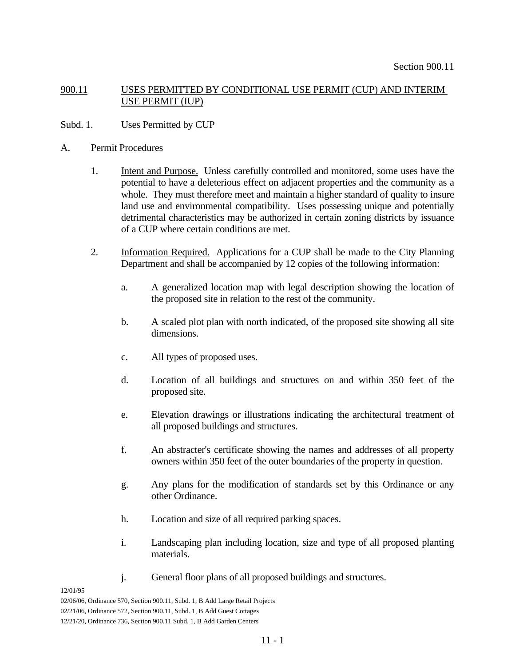# 900.11 USES PERMITTED BY CONDITIONAL USE PERMIT (CUP) AND INTERIM USE PERMIT (IUP)

# Subd. 1. Uses Permitted by CUP

- A. Permit Procedures
	- 1. Intent and Purpose. Unless carefully controlled and monitored, some uses have the potential to have a deleterious effect on adjacent properties and the community as a whole. They must therefore meet and maintain a higher standard of quality to insure land use and environmental compatibility. Uses possessing unique and potentially detrimental characteristics may be authorized in certain zoning districts by issuance of a CUP where certain conditions are met.
	- 2. Information Required. Applications for a CUP shall be made to the City Planning Department and shall be accompanied by 12 copies of the following information:
		- a. A generalized location map with legal description showing the location of the proposed site in relation to the rest of the community.
		- b. A scaled plot plan with north indicated, of the proposed site showing all site dimensions.
		- c. All types of proposed uses.
		- d. Location of all buildings and structures on and within 350 feet of the proposed site.
		- e. Elevation drawings or illustrations indicating the architectural treatment of all proposed buildings and structures.
		- f. An abstracter's certificate showing the names and addresses of all property owners within 350 feet of the outer boundaries of the property in question.
		- g. Any plans for the modification of standards set by this Ordinance or any other Ordinance.
		- h. Location and size of all required parking spaces.
		- i. Landscaping plan including location, size and type of all proposed planting materials.
		- j. General floor plans of all proposed buildings and structures.

## 12/01/95

02/06/06, Ordinance 570, Section 900.11, Subd. 1, B Add Large Retail Projects 02/21/06, Ordinance 572, Section 900.11, Subd. 1, B Add Guest Cottages 12/21/20, Ordinance 736, Section 900.11 Subd. 1, B Add Garden Centers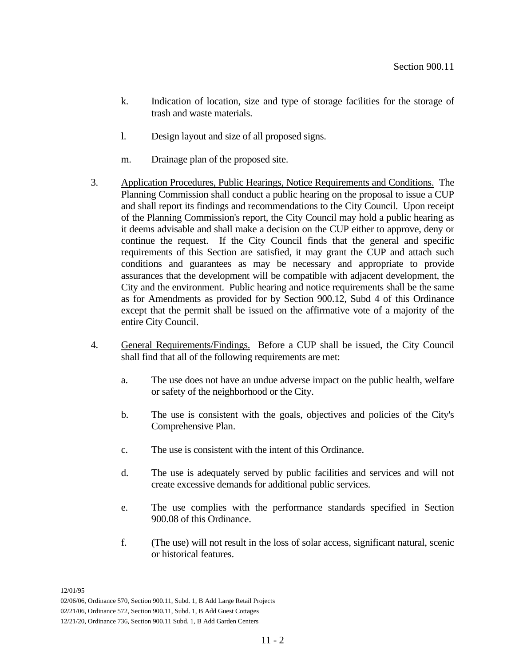- k. Indication of location, size and type of storage facilities for the storage of trash and waste materials.
- l. Design layout and size of all proposed signs.
- m. Drainage plan of the proposed site.
- 3. Application Procedures, Public Hearings, Notice Requirements and Conditions. The Planning Commission shall conduct a public hearing on the proposal to issue a CUP and shall report its findings and recommendations to the City Council. Upon receipt of the Planning Commission's report, the City Council may hold a public hearing as it deems advisable and shall make a decision on the CUP either to approve, deny or continue the request. If the City Council finds that the general and specific requirements of this Section are satisfied, it may grant the CUP and attach such conditions and guarantees as may be necessary and appropriate to provide assurances that the development will be compatible with adjacent development, the City and the environment. Public hearing and notice requirements shall be the same as for Amendments as provided for by Section 900.12, Subd 4 of this Ordinance except that the permit shall be issued on the affirmative vote of a majority of the entire City Council.
- 4. General Requirements/Findings. Before a CUP shall be issued, the City Council shall find that all of the following requirements are met:
	- a. The use does not have an undue adverse impact on the public health, welfare or safety of the neighborhood or the City.
	- b. The use is consistent with the goals, objectives and policies of the City's Comprehensive Plan.
	- c. The use is consistent with the intent of this Ordinance.
	- d. The use is adequately served by public facilities and services and will not create excessive demands for additional public services.
	- e. The use complies with the performance standards specified in Section 900.08 of this Ordinance.
	- f. (The use) will not result in the loss of solar access, significant natural, scenic or historical features.

<sup>02/06/06,</sup> Ordinance 570, Section 900.11, Subd. 1, B Add Large Retail Projects

<sup>02/21/06,</sup> Ordinance 572, Section 900.11, Subd. 1, B Add Guest Cottages

<sup>12/21/20,</sup> Ordinance 736, Section 900.11 Subd. 1, B Add Garden Centers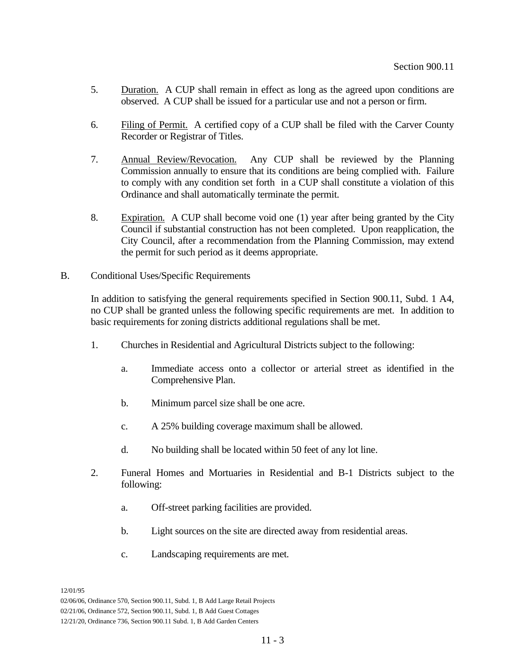- 5. Duration. A CUP shall remain in effect as long as the agreed upon conditions are observed. A CUP shall be issued for a particular use and not a person or firm.
- 6. Filing of Permit. A certified copy of a CUP shall be filed with the Carver County Recorder or Registrar of Titles.
- 7. Annual Review/Revocation. Any CUP shall be reviewed by the Planning Commission annually to ensure that its conditions are being complied with. Failure to comply with any condition set forth in a CUP shall constitute a violation of this Ordinance and shall automatically terminate the permit.
- 8. Expiration. A CUP shall become void one (1) year after being granted by the City Council if substantial construction has not been completed. Upon reapplication, the City Council, after a recommendation from the Planning Commission, may extend the permit for such period as it deems appropriate.
- B. Conditional Uses/Specific Requirements

In addition to satisfying the general requirements specified in Section 900.11, Subd. 1 A4, no CUP shall be granted unless the following specific requirements are met. In addition to basic requirements for zoning districts additional regulations shall be met.

- 1. Churches in Residential and Agricultural Districts subject to the following:
	- a. Immediate access onto a collector or arterial street as identified in the Comprehensive Plan.
	- b. Minimum parcel size shall be one acre.
	- c. A 25% building coverage maximum shall be allowed.
	- d. No building shall be located within 50 feet of any lot line.
- 2. Funeral Homes and Mortuaries in Residential and B-1 Districts subject to the following:
	- a. Off-street parking facilities are provided.
	- b. Light sources on the site are directed away from residential areas.
	- c. Landscaping requirements are met.

<sup>02/06/06,</sup> Ordinance 570, Section 900.11, Subd. 1, B Add Large Retail Projects

<sup>02/21/06,</sup> Ordinance 572, Section 900.11, Subd. 1, B Add Guest Cottages

<sup>12/21/20,</sup> Ordinance 736, Section 900.11 Subd. 1, B Add Garden Centers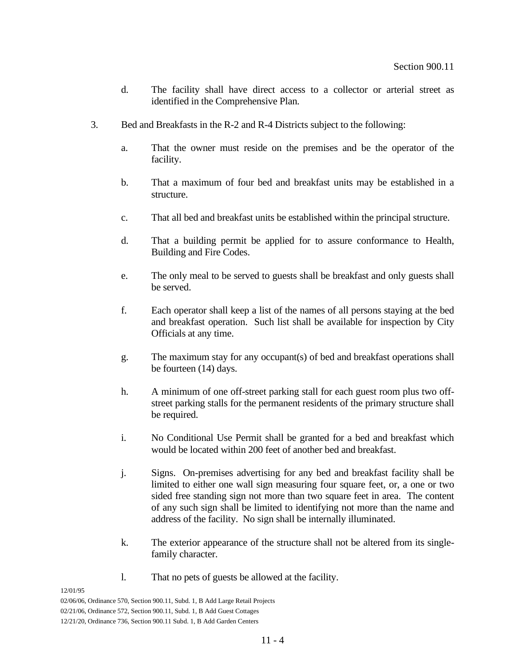- d. The facility shall have direct access to a collector or arterial street as identified in the Comprehensive Plan.
- 3. Bed and Breakfasts in the R-2 and R-4 Districts subject to the following:
	- a. That the owner must reside on the premises and be the operator of the facility.
	- b. That a maximum of four bed and breakfast units may be established in a structure.
	- c. That all bed and breakfast units be established within the principal structure.
	- d. That a building permit be applied for to assure conformance to Health, Building and Fire Codes.
	- e. The only meal to be served to guests shall be breakfast and only guests shall be served.
	- f. Each operator shall keep a list of the names of all persons staying at the bed and breakfast operation. Such list shall be available for inspection by City Officials at any time.
	- g. The maximum stay for any occupant(s) of bed and breakfast operations shall be fourteen (14) days.
	- h. A minimum of one off-street parking stall for each guest room plus two offstreet parking stalls for the permanent residents of the primary structure shall be required.
	- i. No Conditional Use Permit shall be granted for a bed and breakfast which would be located within 200 feet of another bed and breakfast.
	- j. Signs. On-premises advertising for any bed and breakfast facility shall be limited to either one wall sign measuring four square feet, or, a one or two sided free standing sign not more than two square feet in area. The content of any such sign shall be limited to identifying not more than the name and address of the facility. No sign shall be internally illuminated.
	- k. The exterior appearance of the structure shall not be altered from its singlefamily character.
	- l. That no pets of guests be allowed at the facility.

02/06/06, Ordinance 570, Section 900.11, Subd. 1, B Add Large Retail Projects

<sup>02/21/06,</sup> Ordinance 572, Section 900.11, Subd. 1, B Add Guest Cottages

<sup>12/21/20,</sup> Ordinance 736, Section 900.11 Subd. 1, B Add Garden Centers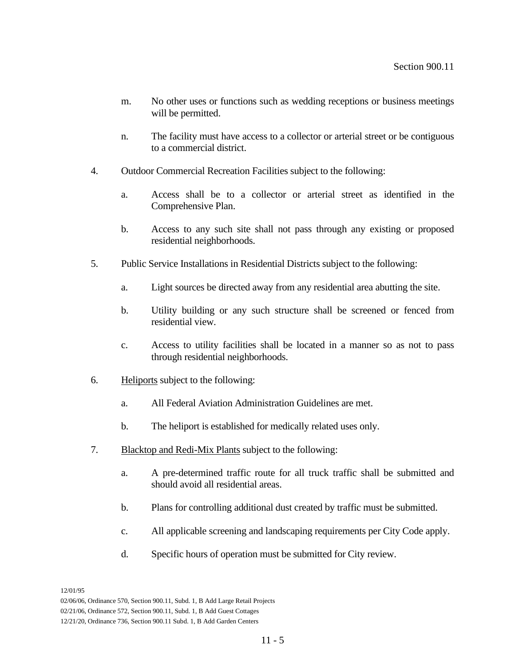- m. No other uses or functions such as wedding receptions or business meetings will be permitted.
- n. The facility must have access to a collector or arterial street or be contiguous to a commercial district.
- 4. Outdoor Commercial Recreation Facilities subject to the following:
	- a. Access shall be to a collector or arterial street as identified in the Comprehensive Plan.
	- b. Access to any such site shall not pass through any existing or proposed residential neighborhoods.
- 5. Public Service Installations in Residential Districts subject to the following:
	- a. Light sources be directed away from any residential area abutting the site.
	- b. Utility building or any such structure shall be screened or fenced from residential view.
	- c. Access to utility facilities shall be located in a manner so as not to pass through residential neighborhoods.
- 6. Heliports subject to the following:
	- a. All Federal Aviation Administration Guidelines are met.
	- b. The heliport is established for medically related uses only.
- 7. Blacktop and Redi-Mix Plants subject to the following:
	- a. A pre-determined traffic route for all truck traffic shall be submitted and should avoid all residential areas.
	- b. Plans for controlling additional dust created by traffic must be submitted.
	- c. All applicable screening and landscaping requirements per City Code apply.
	- d. Specific hours of operation must be submitted for City review.

<sup>02/06/06,</sup> Ordinance 570, Section 900.11, Subd. 1, B Add Large Retail Projects

<sup>02/21/06,</sup> Ordinance 572, Section 900.11, Subd. 1, B Add Guest Cottages

<sup>12/21/20,</sup> Ordinance 736, Section 900.11 Subd. 1, B Add Garden Centers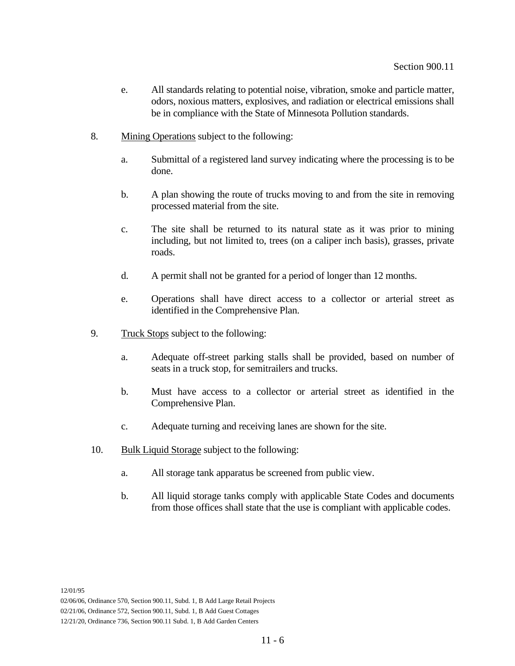- e. All standards relating to potential noise, vibration, smoke and particle matter, odors, noxious matters, explosives, and radiation or electrical emissions shall be in compliance with the State of Minnesota Pollution standards.
- 8. Mining Operations subject to the following:
	- a. Submittal of a registered land survey indicating where the processing is to be done.
	- b. A plan showing the route of trucks moving to and from the site in removing processed material from the site.
	- c. The site shall be returned to its natural state as it was prior to mining including, but not limited to, trees (on a caliper inch basis), grasses, private roads.
	- d. A permit shall not be granted for a period of longer than 12 months.
	- e. Operations shall have direct access to a collector or arterial street as identified in the Comprehensive Plan.
- 9. Truck Stops subject to the following:
	- a. Adequate off-street parking stalls shall be provided, based on number of seats in a truck stop, for semitrailers and trucks.
	- b. Must have access to a collector or arterial street as identified in the Comprehensive Plan.
	- c. Adequate turning and receiving lanes are shown for the site.
- 10. Bulk Liquid Storage subject to the following:
	- a. All storage tank apparatus be screened from public view.
	- b. All liquid storage tanks comply with applicable State Codes and documents from those offices shall state that the use is compliant with applicable codes.

02/06/06, Ordinance 570, Section 900.11, Subd. 1, B Add Large Retail Projects

02/21/06, Ordinance 572, Section 900.11, Subd. 1, B Add Guest Cottages

12/21/20, Ordinance 736, Section 900.11 Subd. 1, B Add Garden Centers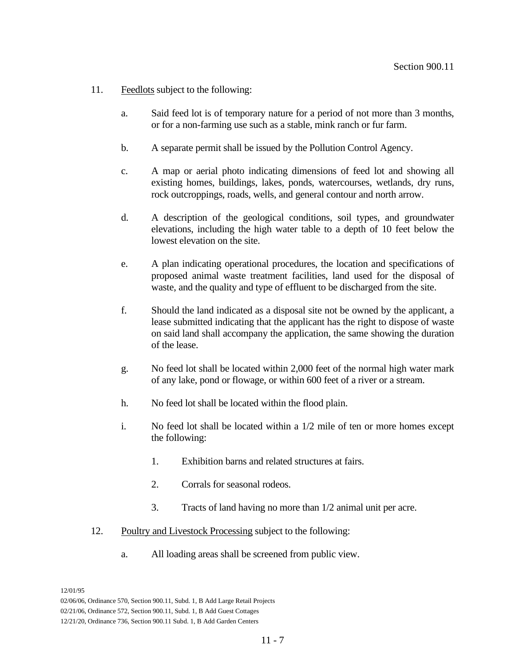- 11. Feedlots subject to the following:
	- a. Said feed lot is of temporary nature for a period of not more than 3 months, or for a non-farming use such as a stable, mink ranch or fur farm.
	- b. A separate permit shall be issued by the Pollution Control Agency.
	- c. A map or aerial photo indicating dimensions of feed lot and showing all existing homes, buildings, lakes, ponds, watercourses, wetlands, dry runs, rock outcroppings, roads, wells, and general contour and north arrow.
	- d. A description of the geological conditions, soil types, and groundwater elevations, including the high water table to a depth of 10 feet below the lowest elevation on the site.
	- e. A plan indicating operational procedures, the location and specifications of proposed animal waste treatment facilities, land used for the disposal of waste, and the quality and type of effluent to be discharged from the site.
	- f. Should the land indicated as a disposal site not be owned by the applicant, a lease submitted indicating that the applicant has the right to dispose of waste on said land shall accompany the application, the same showing the duration of the lease.
	- g. No feed lot shall be located within 2,000 feet of the normal high water mark of any lake, pond or flowage, or within 600 feet of a river or a stream.
	- h. No feed lot shall be located within the flood plain.
	- i. No feed lot shall be located within a 1/2 mile of ten or more homes except the following:
		- 1. Exhibition barns and related structures at fairs.
		- 2. Corrals for seasonal rodeos.
		- 3. Tracts of land having no more than 1/2 animal unit per acre.
- 12. Poultry and Livestock Processing subject to the following:
	- a. All loading areas shall be screened from public view.

<sup>02/06/06,</sup> Ordinance 570, Section 900.11, Subd. 1, B Add Large Retail Projects

<sup>02/21/06,</sup> Ordinance 572, Section 900.11, Subd. 1, B Add Guest Cottages

<sup>12/21/20,</sup> Ordinance 736, Section 900.11 Subd. 1, B Add Garden Centers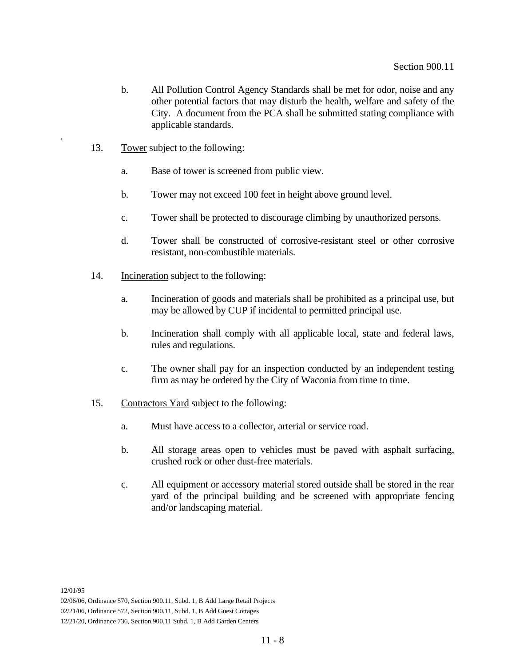- b. All Pollution Control Agency Standards shall be met for odor, noise and any other potential factors that may disturb the health, welfare and safety of the City. A document from the PCA shall be submitted stating compliance with applicable standards.
- 13. Tower subject to the following:
	- a. Base of tower is screened from public view.
	- b. Tower may not exceed 100 feet in height above ground level.
	- c. Tower shall be protected to discourage climbing by unauthorized persons.
	- d. Tower shall be constructed of corrosive-resistant steel or other corrosive resistant, non-combustible materials.
- 14. Incineration subject to the following:
	- a. Incineration of goods and materials shall be prohibited as a principal use, but may be allowed by CUP if incidental to permitted principal use.
	- b. Incineration shall comply with all applicable local, state and federal laws, rules and regulations.
	- c. The owner shall pay for an inspection conducted by an independent testing firm as may be ordered by the City of Waconia from time to time.
- 15. Contractors Yard subject to the following:
	- a. Must have access to a collector, arterial or service road.
	- b. All storage areas open to vehicles must be paved with asphalt surfacing, crushed rock or other dust-free materials.
	- c. All equipment or accessory material stored outside shall be stored in the rear yard of the principal building and be screened with appropriate fencing and/or landscaping material.

.

<sup>02/06/06,</sup> Ordinance 570, Section 900.11, Subd. 1, B Add Large Retail Projects

<sup>02/21/06,</sup> Ordinance 572, Section 900.11, Subd. 1, B Add Guest Cottages

<sup>12/21/20,</sup> Ordinance 736, Section 900.11 Subd. 1, B Add Garden Centers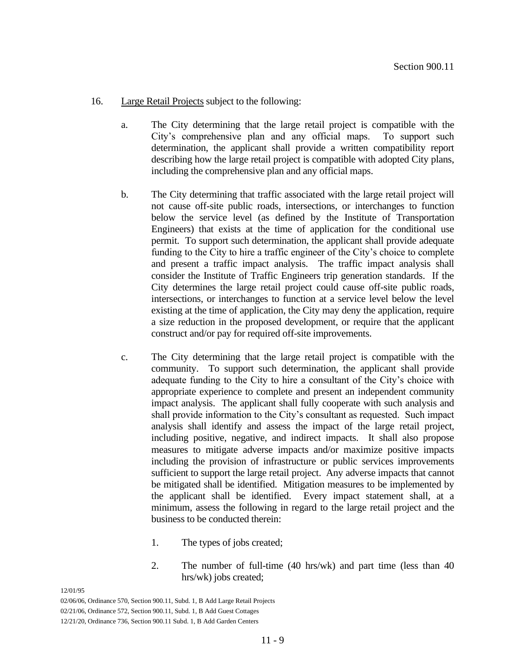## 16. Large Retail Projects subject to the following:

- a. The City determining that the large retail project is compatible with the City's comprehensive plan and any official maps. To support such determination, the applicant shall provide a written compatibility report describing how the large retail project is compatible with adopted City plans, including the comprehensive plan and any official maps.
- b. The City determining that traffic associated with the large retail project will not cause off-site public roads, intersections, or interchanges to function below the service level (as defined by the Institute of Transportation Engineers) that exists at the time of application for the conditional use permit. To support such determination, the applicant shall provide adequate funding to the City to hire a traffic engineer of the City's choice to complete and present a traffic impact analysis. The traffic impact analysis shall consider the Institute of Traffic Engineers trip generation standards. If the City determines the large retail project could cause off-site public roads, intersections, or interchanges to function at a service level below the level existing at the time of application, the City may deny the application, require a size reduction in the proposed development, or require that the applicant construct and/or pay for required off-site improvements.
- c. The City determining that the large retail project is compatible with the community. To support such determination, the applicant shall provide adequate funding to the City to hire a consultant of the City's choice with appropriate experience to complete and present an independent community impact analysis. The applicant shall fully cooperate with such analysis and shall provide information to the City's consultant as requested. Such impact analysis shall identify and assess the impact of the large retail project, including positive, negative, and indirect impacts. It shall also propose measures to mitigate adverse impacts and/or maximize positive impacts including the provision of infrastructure or public services improvements sufficient to support the large retail project. Any adverse impacts that cannot be mitigated shall be identified. Mitigation measures to be implemented by the applicant shall be identified. Every impact statement shall, at a minimum, assess the following in regard to the large retail project and the business to be conducted therein:
	- 1. The types of jobs created;
	- 2. The number of full-time (40 hrs/wk) and part time (less than 40 hrs/wk) jobs created;

<sup>02/06/06,</sup> Ordinance 570, Section 900.11, Subd. 1, B Add Large Retail Projects

<sup>02/21/06,</sup> Ordinance 572, Section 900.11, Subd. 1, B Add Guest Cottages

<sup>12/21/20,</sup> Ordinance 736, Section 900.11 Subd. 1, B Add Garden Centers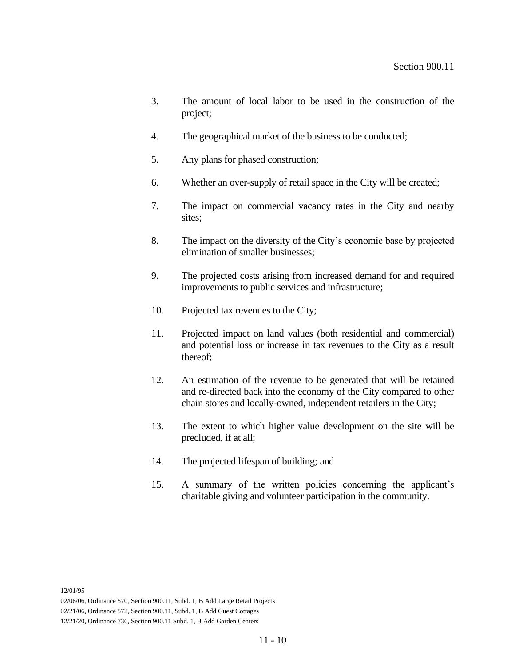- 3. The amount of local labor to be used in the construction of the project;
- 4. The geographical market of the business to be conducted;
- 5. Any plans for phased construction;
- 6. Whether an over-supply of retail space in the City will be created;
- 7. The impact on commercial vacancy rates in the City and nearby sites;
- 8. The impact on the diversity of the City's economic base by projected elimination of smaller businesses;
- 9. The projected costs arising from increased demand for and required improvements to public services and infrastructure;
- 10. Projected tax revenues to the City;
- 11. Projected impact on land values (both residential and commercial) and potential loss or increase in tax revenues to the City as a result thereof;
- 12. An estimation of the revenue to be generated that will be retained and re-directed back into the economy of the City compared to other chain stores and locally-owned, independent retailers in the City;
- 13. The extent to which higher value development on the site will be precluded, if at all;
- 14. The projected lifespan of building; and
- 15. A summary of the written policies concerning the applicant's charitable giving and volunteer participation in the community.

<sup>02/06/06,</sup> Ordinance 570, Section 900.11, Subd. 1, B Add Large Retail Projects

<sup>02/21/06,</sup> Ordinance 572, Section 900.11, Subd. 1, B Add Guest Cottages

<sup>12/21/20,</sup> Ordinance 736, Section 900.11 Subd. 1, B Add Garden Centers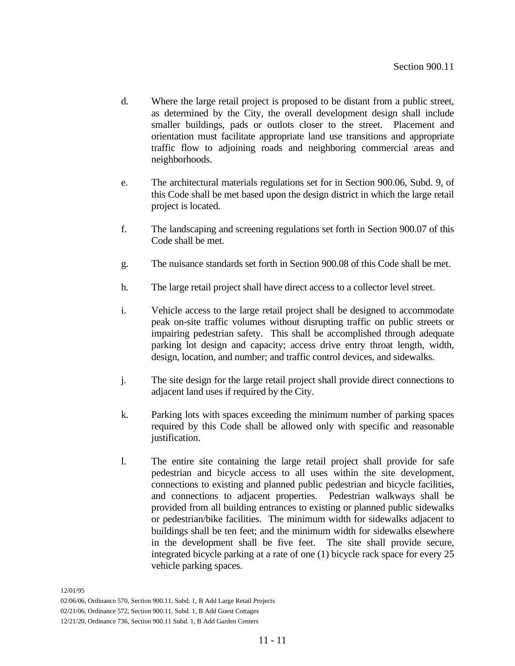- d. Where the large retail project is proposed to be distant from a public street, as determined by the City, the overall development design shall include smaller buildings, pads or outlots closer to the street. Placement and orientation must facilitate appropriate land use transitions and appropriate traffic flow to adjoining roads and neighboring commercial areas and neighborhoods.
- e. The architectural materials regulations set for in Section 900.06, Subd. 9, of this Code shall be met based upon the design district in which the large retail project is located.
- f. The landscaping and screening regulations set forth in Section 900.07 of this Code shall be met.
- g. The nuisance standards set forth in Section 900.08 of this Code shall be met.
- h. The large retail project shall have direct access to a collector level street.
- i. Vehicle access to the large retail project shall be designed to accommodate peak on-site traffic volumes without disrupting traffic on public streets or impairing pedestrian safety. This shall be accomplished through adequate parking lot design and capacity; access drive entry throat length, width, design, location, and number; and traffic control devices, and sidewalks.
- j. The site design for the large retail project shall provide direct connections to adjacent land uses if required by the City.
- k. Parking lots with spaces exceeding the minimum number of parking spaces required by this Code shall be allowed only with specific and reasonable justification.
- l. The entire site containing the large retail project shall provide for safe pedestrian and bicycle access to all uses within the site development, connections to existing and planned public pedestrian and bicycle facilities, and connections to adjacent properties. Pedestrian walkways shall be provided from all building entrances to existing or planned public sidewalks or pedestrian/bike facilities. The minimum width for sidewalks adjacent to buildings shall be ten feet; and the minimum width for sidewalks elsewhere in the development shall be five feet. The site shall provide secure, integrated bicycle parking at a rate of one (1) bicycle rack space for every 25 vehicle parking spaces.

<sup>02/06/06,</sup> Ordinance 570, Section 900.11, Subd. 1, B Add Large Retail Projects

<sup>02/21/06,</sup> Ordinance 572, Section 900.11, Subd. 1, B Add Guest Cottages

<sup>12/21/20,</sup> Ordinance 736, Section 900.11 Subd. 1, B Add Garden Centers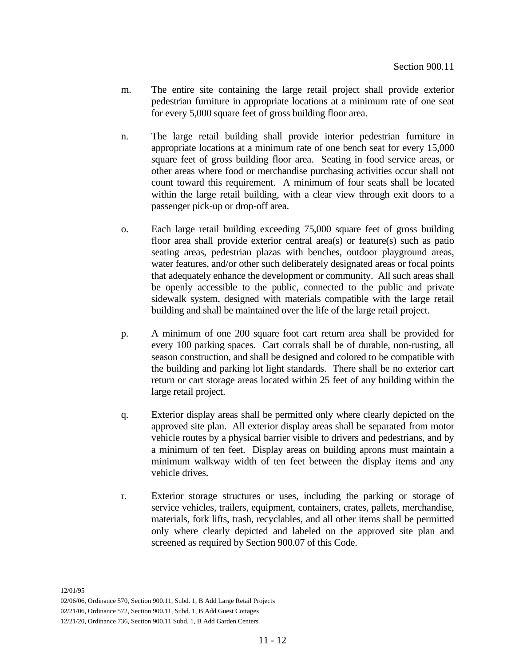- m. The entire site containing the large retail project shall provide exterior pedestrian furniture in appropriate locations at a minimum rate of one seat for every 5,000 square feet of gross building floor area.
- n. The large retail building shall provide interior pedestrian furniture in appropriate locations at a minimum rate of one bench seat for every 15,000 square feet of gross building floor area. Seating in food service areas, or other areas where food or merchandise purchasing activities occur shall not count toward this requirement. A minimum of four seats shall be located within the large retail building, with a clear view through exit doors to a passenger pick-up or drop-off area.
- o. Each large retail building exceeding 75,000 square feet of gross building floor area shall provide exterior central area(s) or feature(s) such as patio seating areas, pedestrian plazas with benches, outdoor playground areas, water features, and/or other such deliberately designated areas or focal points that adequately enhance the development or community. All such areas shall be openly accessible to the public, connected to the public and private sidewalk system, designed with materials compatible with the large retail building and shall be maintained over the life of the large retail project.
- p. A minimum of one 200 square foot cart return area shall be provided for every 100 parking spaces. Cart corrals shall be of durable, non-rusting, all season construction, and shall be designed and colored to be compatible with the building and parking lot light standards. There shall be no exterior cart return or cart storage areas located within 25 feet of any building within the large retail project.
- q. Exterior display areas shall be permitted only where clearly depicted on the approved site plan. All exterior display areas shall be separated from motor vehicle routes by a physical barrier visible to drivers and pedestrians, and by a minimum of ten feet. Display areas on building aprons must maintain a minimum walkway width of ten feet between the display items and any vehicle drives.
- r. Exterior storage structures or uses, including the parking or storage of service vehicles, trailers, equipment, containers, crates, pallets, merchandise, materials, fork lifts, trash, recyclables, and all other items shall be permitted only where clearly depicted and labeled on the approved site plan and screened as required by Section 900.07 of this Code.

<sup>02/06/06,</sup> Ordinance 570, Section 900.11, Subd. 1, B Add Large Retail Projects

<sup>02/21/06,</sup> Ordinance 572, Section 900.11, Subd. 1, B Add Guest Cottages

<sup>12/21/20,</sup> Ordinance 736, Section 900.11 Subd. 1, B Add Garden Centers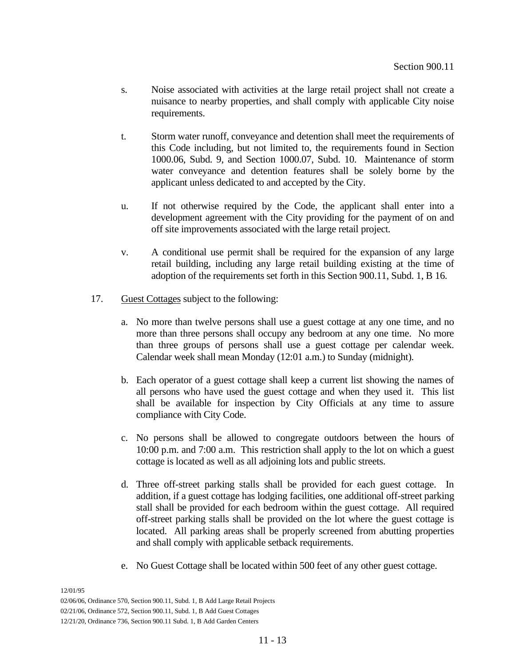- s. Noise associated with activities at the large retail project shall not create a nuisance to nearby properties, and shall comply with applicable City noise requirements.
- t. Storm water runoff, conveyance and detention shall meet the requirements of this Code including, but not limited to, the requirements found in Section 1000.06, Subd. 9, and Section 1000.07, Subd. 10. Maintenance of storm water conveyance and detention features shall be solely borne by the applicant unless dedicated to and accepted by the City.
- u. If not otherwise required by the Code, the applicant shall enter into a development agreement with the City providing for the payment of on and off site improvements associated with the large retail project.
- v. A conditional use permit shall be required for the expansion of any large retail building, including any large retail building existing at the time of adoption of the requirements set forth in this Section 900.11, Subd. 1, B 16.
- 17. Guest Cottages subject to the following:
	- a. No more than twelve persons shall use a guest cottage at any one time, and no more than three persons shall occupy any bedroom at any one time. No more than three groups of persons shall use a guest cottage per calendar week. Calendar week shall mean Monday (12:01 a.m.) to Sunday (midnight).
	- b. Each operator of a guest cottage shall keep a current list showing the names of all persons who have used the guest cottage and when they used it. This list shall be available for inspection by City Officials at any time to assure compliance with City Code.
	- c. No persons shall be allowed to congregate outdoors between the hours of 10:00 p.m. and 7:00 a.m. This restriction shall apply to the lot on which a guest cottage is located as well as all adjoining lots and public streets.
	- d. Three off-street parking stalls shall be provided for each guest cottage. In addition, if a guest cottage has lodging facilities, one additional off-street parking stall shall be provided for each bedroom within the guest cottage. All required off-street parking stalls shall be provided on the lot where the guest cottage is located. All parking areas shall be properly screened from abutting properties and shall comply with applicable setback requirements.
	- e. No Guest Cottage shall be located within 500 feet of any other guest cottage.

02/06/06, Ordinance 570, Section 900.11, Subd. 1, B Add Large Retail Projects

02/21/06, Ordinance 572, Section 900.11, Subd. 1, B Add Guest Cottages

12/21/20, Ordinance 736, Section 900.11 Subd. 1, B Add Garden Centers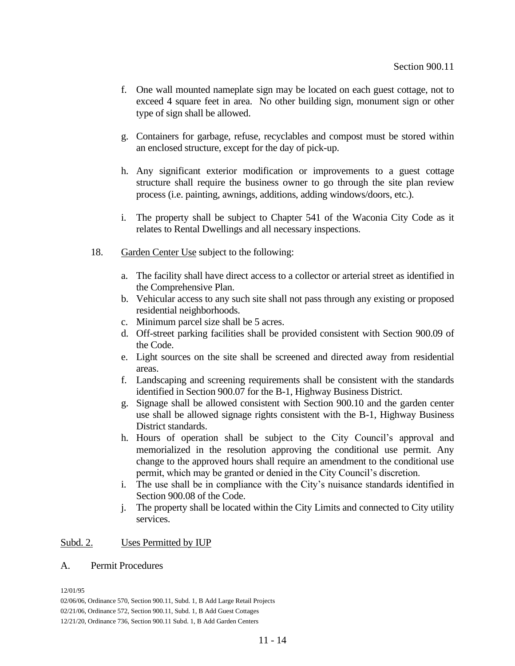- f. One wall mounted nameplate sign may be located on each guest cottage, not to exceed 4 square feet in area. No other building sign, monument sign or other type of sign shall be allowed.
- g. Containers for garbage, refuse, recyclables and compost must be stored within an enclosed structure, except for the day of pick-up.
- h. Any significant exterior modification or improvements to a guest cottage structure shall require the business owner to go through the site plan review process (i.e. painting, awnings, additions, adding windows/doors, etc.).
- i. The property shall be subject to Chapter 541 of the Waconia City Code as it relates to Rental Dwellings and all necessary inspections.
- 18. Garden Center Use subject to the following:
	- a. The facility shall have direct access to a collector or arterial street as identified in the Comprehensive Plan.
	- b. Vehicular access to any such site shall not pass through any existing or proposed residential neighborhoods.
	- c. Minimum parcel size shall be 5 acres.
	- d. Off-street parking facilities shall be provided consistent with Section 900.09 of the Code.
	- e. Light sources on the site shall be screened and directed away from residential areas.
	- f. Landscaping and screening requirements shall be consistent with the standards identified in Section 900.07 for the B-1, Highway Business District.
	- g. Signage shall be allowed consistent with Section 900.10 and the garden center use shall be allowed signage rights consistent with the B-1, Highway Business District standards.
	- h. Hours of operation shall be subject to the City Council's approval and memorialized in the resolution approving the conditional use permit. Any change to the approved hours shall require an amendment to the conditional use permit, which may be granted or denied in the City Council's discretion.
	- i. The use shall be in compliance with the City's nuisance standards identified in Section 900.08 of the Code.
	- j. The property shall be located within the City Limits and connected to City utility services.

# Subd. 2. Uses Permitted by IUP

## A. Permit Procedures

12/01/95

02/06/06, Ordinance 570, Section 900.11, Subd. 1, B Add Large Retail Projects

02/21/06, Ordinance 572, Section 900.11, Subd. 1, B Add Guest Cottages

12/21/20, Ordinance 736, Section 900.11 Subd. 1, B Add Garden Centers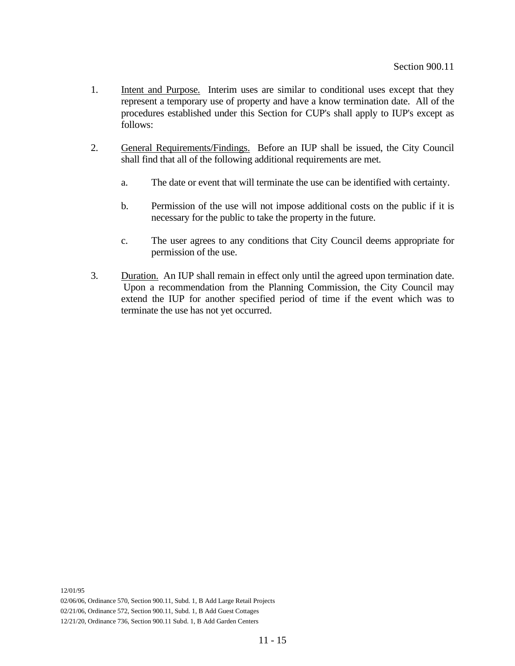- 1. Intent and Purpose. Interim uses are similar to conditional uses except that they represent a temporary use of property and have a know termination date. All of the procedures established under this Section for CUP's shall apply to IUP's except as follows:
- 2. General Requirements/Findings. Before an IUP shall be issued, the City Council shall find that all of the following additional requirements are met.
	- a. The date or event that will terminate the use can be identified with certainty.
	- b. Permission of the use will not impose additional costs on the public if it is necessary for the public to take the property in the future.
	- c. The user agrees to any conditions that City Council deems appropriate for permission of the use.
- 3. Duration. An IUP shall remain in effect only until the agreed upon termination date. Upon a recommendation from the Planning Commission, the City Council may extend the IUP for another specified period of time if the event which was to terminate the use has not yet occurred.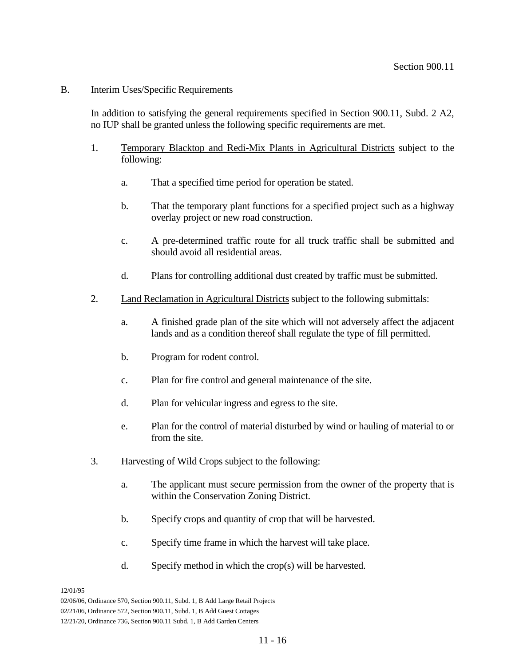## B. Interim Uses/Specific Requirements

In addition to satisfying the general requirements specified in Section 900.11, Subd. 2 A2, no IUP shall be granted unless the following specific requirements are met.

- 1. Temporary Blacktop and Redi-Mix Plants in Agricultural Districts subject to the following:
	- a. That a specified time period for operation be stated.
	- b. That the temporary plant functions for a specified project such as a highway overlay project or new road construction.
	- c. A pre-determined traffic route for all truck traffic shall be submitted and should avoid all residential areas.
	- d. Plans for controlling additional dust created by traffic must be submitted.
- 2. Land Reclamation in Agricultural Districts subject to the following submittals:
	- a. A finished grade plan of the site which will not adversely affect the adjacent lands and as a condition thereof shall regulate the type of fill permitted.
	- b. Program for rodent control.
	- c. Plan for fire control and general maintenance of the site.
	- d. Plan for vehicular ingress and egress to the site.
	- e. Plan for the control of material disturbed by wind or hauling of material to or from the site.
- 3. Harvesting of Wild Crops subject to the following:
	- a. The applicant must secure permission from the owner of the property that is within the Conservation Zoning District.
	- b. Specify crops and quantity of crop that will be harvested.
	- c. Specify time frame in which the harvest will take place.
	- d. Specify method in which the crop(s) will be harvested.

<sup>02/06/06,</sup> Ordinance 570, Section 900.11, Subd. 1, B Add Large Retail Projects

<sup>02/21/06,</sup> Ordinance 572, Section 900.11, Subd. 1, B Add Guest Cottages

<sup>12/21/20,</sup> Ordinance 736, Section 900.11 Subd. 1, B Add Garden Centers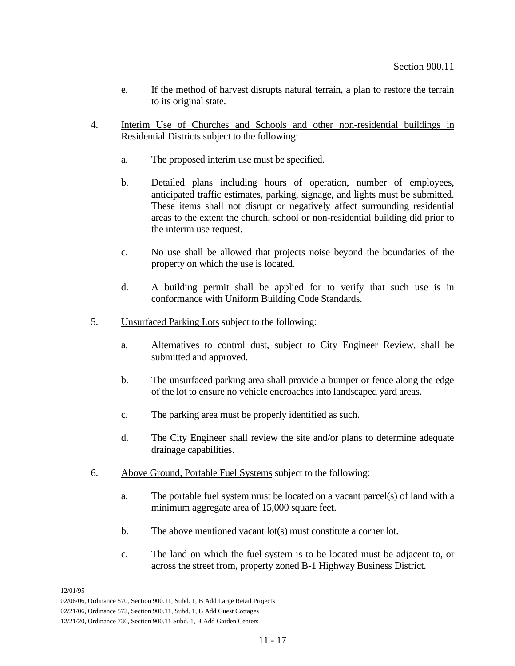- e. If the method of harvest disrupts natural terrain, a plan to restore the terrain to its original state.
- 4. Interim Use of Churches and Schools and other non-residential buildings in Residential Districts subject to the following:
	- a. The proposed interim use must be specified.
	- b. Detailed plans including hours of operation, number of employees, anticipated traffic estimates, parking, signage, and lights must be submitted. These items shall not disrupt or negatively affect surrounding residential areas to the extent the church, school or non-residential building did prior to the interim use request.
	- c. No use shall be allowed that projects noise beyond the boundaries of the property on which the use is located.
	- d. A building permit shall be applied for to verify that such use is in conformance with Uniform Building Code Standards.
- 5. Unsurfaced Parking Lots subject to the following:
	- a. Alternatives to control dust, subject to City Engineer Review, shall be submitted and approved.
	- b. The unsurfaced parking area shall provide a bumper or fence along the edge of the lot to ensure no vehicle encroaches into landscaped yard areas.
	- c. The parking area must be properly identified as such.
	- d. The City Engineer shall review the site and/or plans to determine adequate drainage capabilities.
- 6. Above Ground, Portable Fuel Systems subject to the following:
	- a. The portable fuel system must be located on a vacant parcel(s) of land with a minimum aggregate area of 15,000 square feet.
	- b. The above mentioned vacant lot(s) must constitute a corner lot.
	- c. The land on which the fuel system is to be located must be adjacent to, or across the street from, property zoned B-1 Highway Business District.

<sup>02/06/06,</sup> Ordinance 570, Section 900.11, Subd. 1, B Add Large Retail Projects

<sup>02/21/06,</sup> Ordinance 572, Section 900.11, Subd. 1, B Add Guest Cottages

<sup>12/21/20,</sup> Ordinance 736, Section 900.11 Subd. 1, B Add Garden Centers